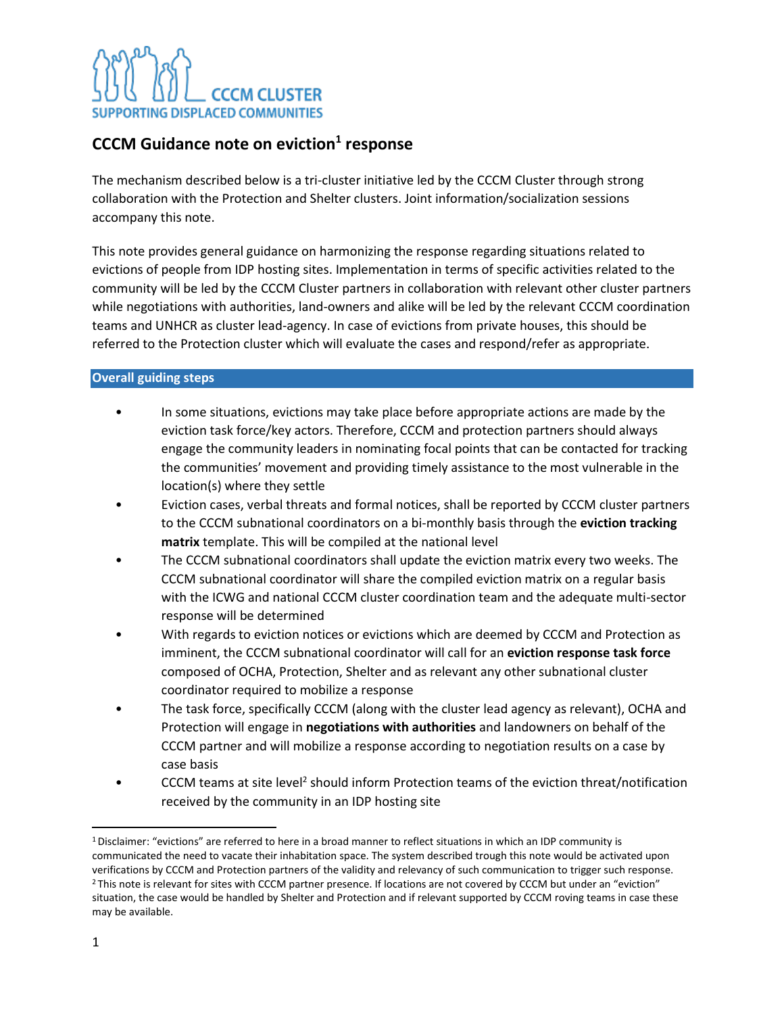### **CCCM Guidance note on eviction<sup>1</sup> response**

The mechanism described below is a tri-cluster initiative led by the CCCM Cluster through strong collaboration with the Protection and Shelter clusters. Joint information/socialization sessions accompany this note.

This note provides general guidance on harmonizing the response regarding situations related to evictions of people from IDP hosting sites. Implementation in terms of specific activities related to the community will be led by the CCCM Cluster partners in collaboration with relevant other cluster partners while negotiations with authorities, land-owners and alike will be led by the relevant CCCM coordination teams and UNHCR as cluster lead-agency. In case of evictions from private houses, this should be referred to the Protection cluster which will evaluate the cases and respond/refer as appropriate.

#### **Overall guiding steps**

- In some situations, evictions may take place before appropriate actions are made by the eviction task force/key actors. Therefore, CCCM and protection partners should always engage the community leaders in nominating focal points that can be contacted for tracking the communities' movement and providing timely assistance to the most vulnerable in the location(s) where they settle
- Eviction cases, verbal threats and formal notices, shall be reported by CCCM cluster partners to the CCCM subnational coordinators on a bi-monthly basis through the **eviction tracking matrix** template. This will be compiled at the national level
- The CCCM subnational coordinators shall update the eviction matrix every two weeks. The CCCM subnational coordinator will share the compiled eviction matrix on a regular basis with the ICWG and national CCCM cluster coordination team and the adequate multi-sector response will be determined
- With regards to eviction notices or evictions which are deemed by CCCM and Protection as imminent, the CCCM subnational coordinator will call for an **eviction response task force** composed of OCHA, Protection, Shelter and as relevant any other subnational cluster coordinator required to mobilize a response
- The task force, specifically CCCM (along with the cluster lead agency as relevant), OCHA and Protection will engage in **negotiations with authorities** and landowners on behalf of the CCCM partner and will mobilize a response according to negotiation results on a case by case basis
- CCCM teams at site level<sup>2</sup> should inform Protection teams of the eviction threat/notification received by the community in an IDP hosting site

<sup>1</sup>Disclaimer: "evictions" are referred to here in a broad manner to reflect situations in which an IDP community is communicated the need to vacate their inhabitation space. The system described trough this note would be activated upon verifications by CCCM and Protection partners of the validity and relevancy of such communication to trigger such response. <sup>2</sup> This note is relevant for sites with CCCM partner presence. If locations are not covered by CCCM but under an "eviction" situation, the case would be handled by Shelter and Protection and if relevant supported by CCCM roving teams in case these may be available.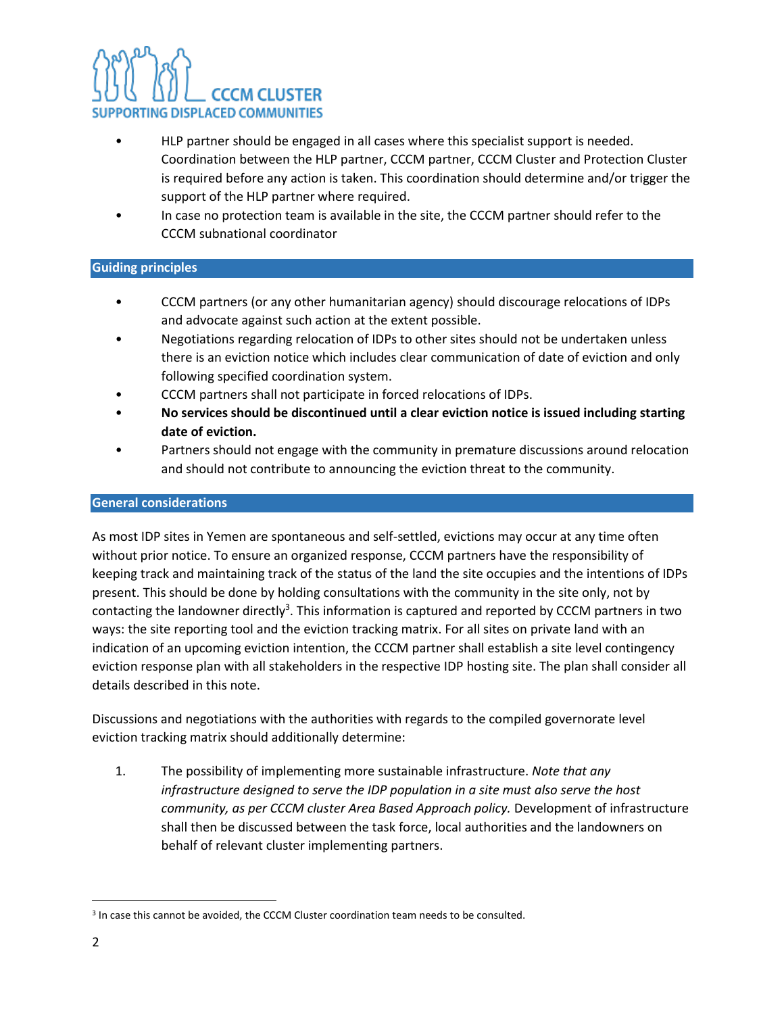- HLP partner should be engaged in all cases where this specialist support is needed. Coordination between the HLP partner, CCCM partner, CCCM Cluster and Protection Cluster is required before any action is taken. This coordination should determine and/or trigger the support of the HLP partner where required.
- In case no protection team is available in the site, the CCCM partner should refer to the CCCM subnational coordinator

#### **Guiding principles**

- CCCM partners (or any other humanitarian agency) should discourage relocations of IDPs and advocate against such action at the extent possible.
- Negotiations regarding relocation of IDPs to other sites should not be undertaken unless there is an eviction notice which includes clear communication of date of eviction and only following specified coordination system.
- CCCM partners shall not participate in forced relocations of IDPs.
- **No services should be discontinued until a clear eviction notice is issued including starting date of eviction.**
- Partners should not engage with the community in premature discussions around relocation and should not contribute to announcing the eviction threat to the community.

#### **General considerations**

As most IDP sites in Yemen are spontaneous and self-settled, evictions may occur at any time often without prior notice. To ensure an organized response, CCCM partners have the responsibility of keeping track and maintaining track of the status of the land the site occupies and the intentions of IDPs present. This should be done by holding consultations with the community in the site only, not by contacting the landowner directly<sup>3</sup>. This information is captured and reported by CCCM partners in two ways: the site reporting tool and the eviction tracking matrix. For all sites on private land with an indication of an upcoming eviction intention, the CCCM partner shall establish a site level contingency eviction response plan with all stakeholders in the respective IDP hosting site. The plan shall consider all details described in this note.

Discussions and negotiations with the authorities with regards to the compiled governorate level eviction tracking matrix should additionally determine:

1. The possibility of implementing more sustainable infrastructure. *Note that any infrastructure designed to serve the IDP population in a site must also serve the host community, as per CCCM cluster Area Based Approach policy.* Development of infrastructure shall then be discussed between the task force, local authorities and the landowners on behalf of relevant cluster implementing partners.

<sup>&</sup>lt;sup>3</sup> In case this cannot be avoided, the CCCM Cluster coordination team needs to be consulted.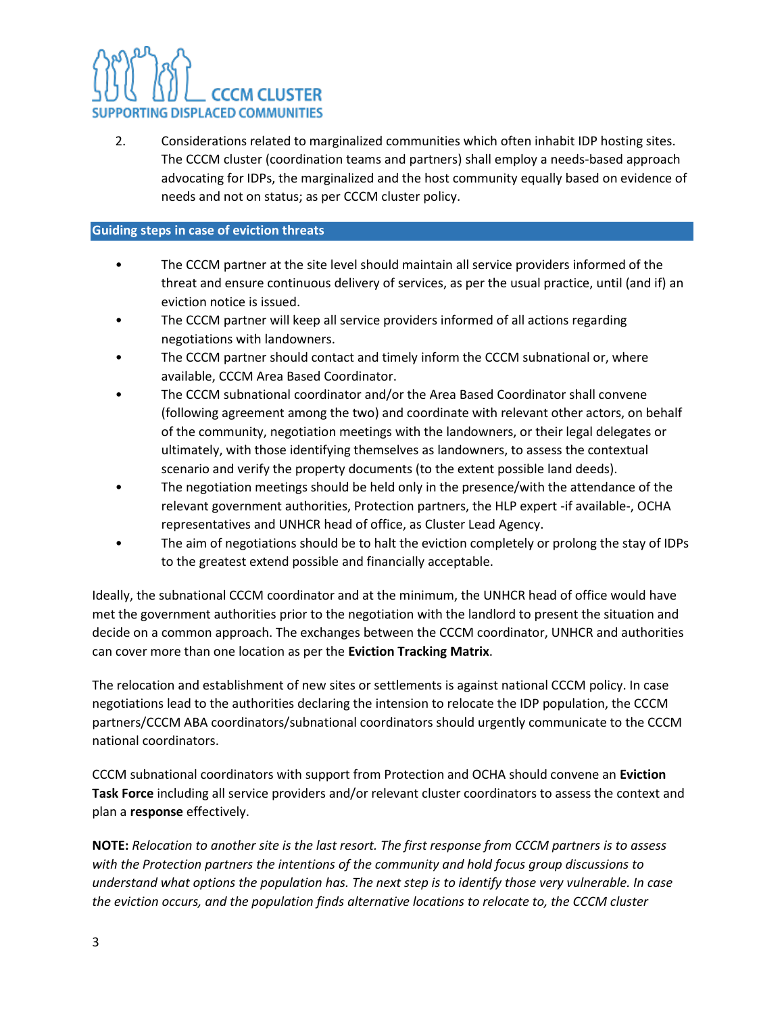2. Considerations related to marginalized communities which often inhabit IDP hosting sites. The CCCM cluster (coordination teams and partners) shall employ a needs-based approach advocating for IDPs, the marginalized and the host community equally based on evidence of needs and not on status; as per CCCM cluster policy.

#### **Guiding steps in case of eviction threats**

- The CCCM partner at the site level should maintain all service providers informed of the threat and ensure continuous delivery of services, as per the usual practice, until (and if) an eviction notice is issued.
- The CCCM partner will keep all service providers informed of all actions regarding negotiations with landowners.
- The CCCM partner should contact and timely inform the CCCM subnational or, where available, CCCM Area Based Coordinator.
- The CCCM subnational coordinator and/or the Area Based Coordinator shall convene (following agreement among the two) and coordinate with relevant other actors, on behalf of the community, negotiation meetings with the landowners, or their legal delegates or ultimately, with those identifying themselves as landowners, to assess the contextual scenario and verify the property documents (to the extent possible land deeds).
- The negotiation meetings should be held only in the presence/with the attendance of the relevant government authorities, Protection partners, the HLP expert -if available-, OCHA representatives and UNHCR head of office, as Cluster Lead Agency.
- The aim of negotiations should be to halt the eviction completely or prolong the stay of IDPs to the greatest extend possible and financially acceptable.

Ideally, the subnational CCCM coordinator and at the minimum, the UNHCR head of office would have met the government authorities prior to the negotiation with the landlord to present the situation and decide on a common approach. The exchanges between the CCCM coordinator, UNHCR and authorities can cover more than one location as per the **Eviction Tracking Matrix**.

The relocation and establishment of new sites or settlements is against national CCCM policy. In case negotiations lead to the authorities declaring the intension to relocate the IDP population, the CCCM partners/CCCM ABA coordinators/subnational coordinators should urgently communicate to the CCCM national coordinators.

CCCM subnational coordinators with support from Protection and OCHA should convene an **Eviction Task Force** including all service providers and/or relevant cluster coordinators to assess the context and plan a **response** effectively.

**NOTE:** *Relocation to another site is the last resort. The first response from CCCM partners is to assess with the Protection partners the intentions of the community and hold focus group discussions to understand what options the population has. The next step is to identify those very vulnerable. In case the eviction occurs, and the population finds alternative locations to relocate to, the CCCM cluster*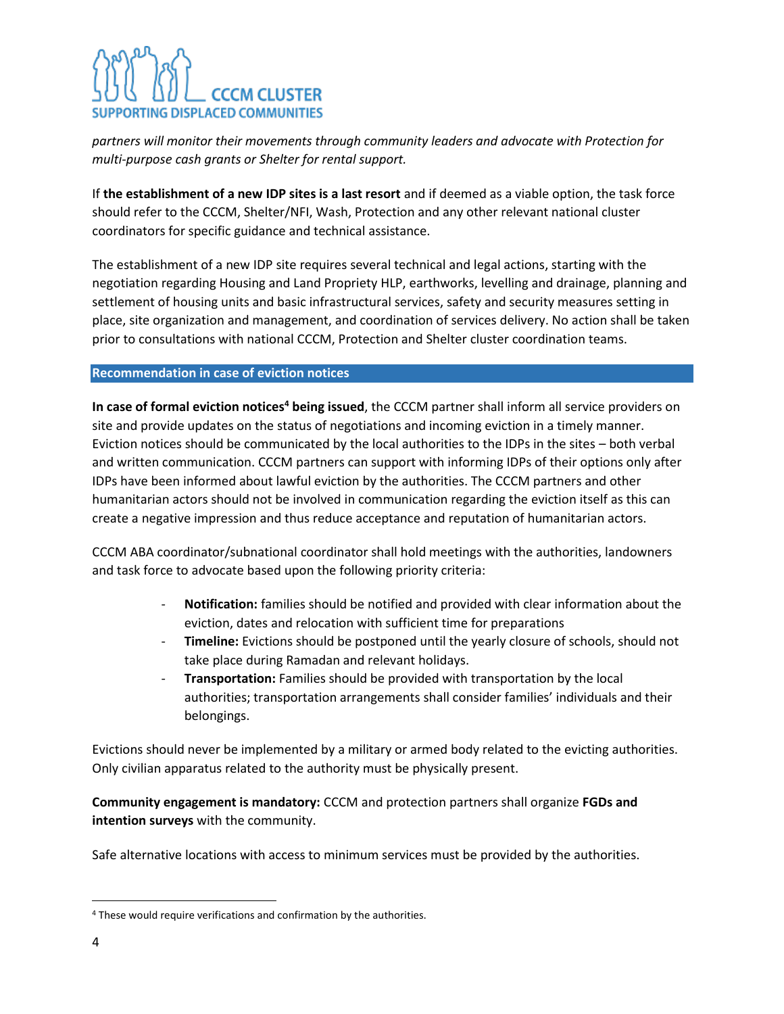*partners will monitor their movements through community leaders and advocate with Protection for multi-purpose cash grants or Shelter for rental support.*

If **the establishment of a new IDP sites is a last resort** and if deemed as a viable option, the task force should refer to the CCCM, Shelter/NFI, Wash, Protection and any other relevant national cluster coordinators for specific guidance and technical assistance.

The establishment of a new IDP site requires several technical and legal actions, starting with the negotiation regarding Housing and Land Propriety HLP, earthworks, levelling and drainage, planning and settlement of housing units and basic infrastructural services, safety and security measures setting in place, site organization and management, and coordination of services delivery. No action shall be taken prior to consultations with national CCCM, Protection and Shelter cluster coordination teams.

#### **Recommendation in case of eviction notices**

**In case of formal eviction notices<sup>4</sup> being issued**, the CCCM partner shall inform all service providers on site and provide updates on the status of negotiations and incoming eviction in a timely manner. Eviction notices should be communicated by the local authorities to the IDPs in the sites – both verbal and written communication. CCCM partners can support with informing IDPs of their options only after IDPs have been informed about lawful eviction by the authorities. The CCCM partners and other humanitarian actors should not be involved in communication regarding the eviction itself as this can create a negative impression and thus reduce acceptance and reputation of humanitarian actors.

CCCM ABA coordinator/subnational coordinator shall hold meetings with the authorities, landowners and task force to advocate based upon the following priority criteria:

- **Notification:** families should be notified and provided with clear information about the eviction, dates and relocation with sufficient time for preparations
- Timeline: Evictions should be postponed until the yearly closure of schools, should not take place during Ramadan and relevant holidays.
- **Transportation:** Families should be provided with transportation by the local authorities; transportation arrangements shall consider families' individuals and their belongings.

Evictions should never be implemented by a military or armed body related to the evicting authorities. Only civilian apparatus related to the authority must be physically present.

**Community engagement is mandatory:** CCCM and protection partners shall organize **FGDs and intention surveys** with the community.

Safe alternative locations with access to minimum services must be provided by the authorities.

<sup>4</sup> These would require verifications and confirmation by the authorities.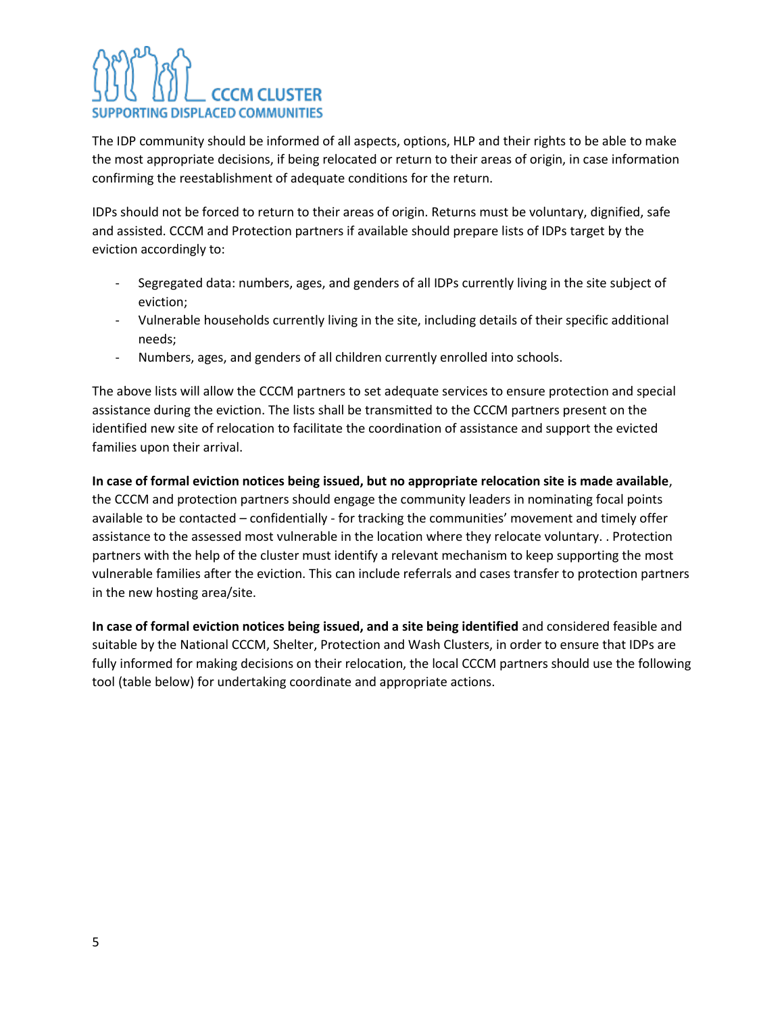The IDP community should be informed of all aspects, options, HLP and their rights to be able to make the most appropriate decisions, if being relocated or return to their areas of origin, in case information confirming the reestablishment of adequate conditions for the return.

IDPs should not be forced to return to their areas of origin. Returns must be voluntary, dignified, safe and assisted. CCCM and Protection partners if available should prepare lists of IDPs target by the eviction accordingly to:

- Segregated data: numbers, ages, and genders of all IDPs currently living in the site subject of eviction;
- Vulnerable households currently living in the site, including details of their specific additional needs;
- Numbers, ages, and genders of all children currently enrolled into schools.

The above lists will allow the CCCM partners to set adequate services to ensure protection and special assistance during the eviction. The lists shall be transmitted to the CCCM partners present on the identified new site of relocation to facilitate the coordination of assistance and support the evicted families upon their arrival.

**In case of formal eviction notices being issued, but no appropriate relocation site is made available**, the CCCM and protection partners should engage the community leaders in nominating focal points available to be contacted – confidentially - for tracking the communities' movement and timely offer assistance to the assessed most vulnerable in the location where they relocate voluntary. . Protection partners with the help of the cluster must identify a relevant mechanism to keep supporting the most vulnerable families after the eviction. This can include referrals and cases transfer to protection partners in the new hosting area/site.

**In case of formal eviction notices being issued, and a site being identified** and considered feasible and suitable by the National CCCM, Shelter, Protection and Wash Clusters, in order to ensure that IDPs are fully informed for making decisions on their relocation, the local CCCM partners should use the following tool (table below) for undertaking coordinate and appropriate actions.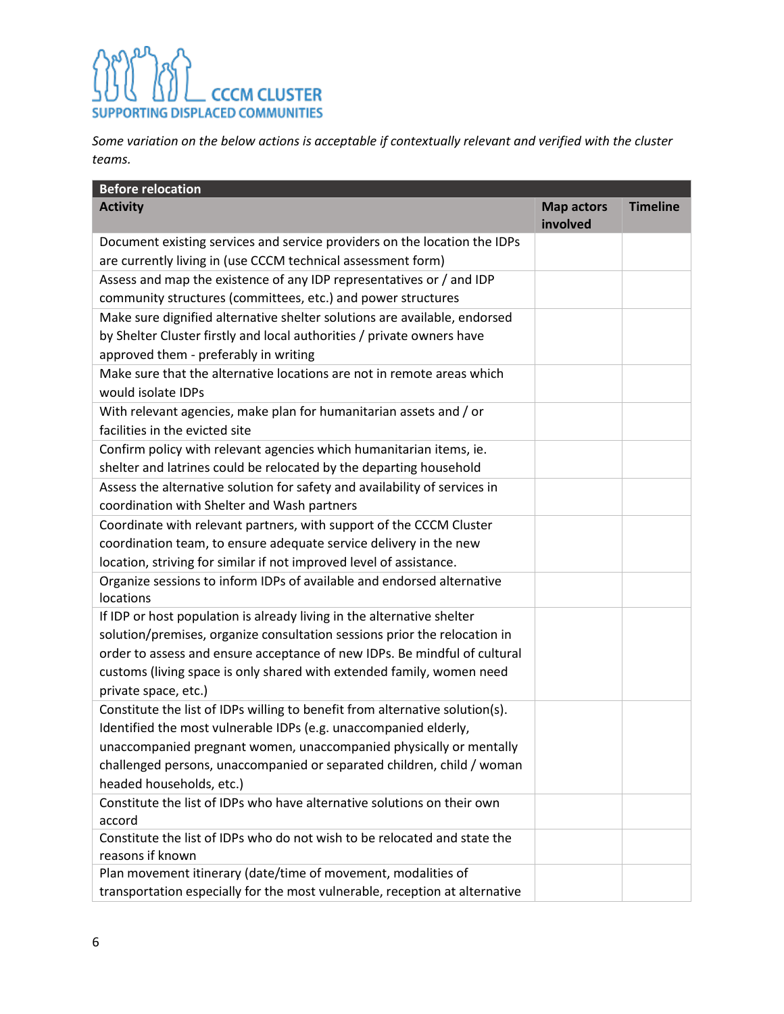*Some variation on the below actions is acceptable if contextually relevant and verified with the cluster teams.*

| <b>Before relocation</b>                                                                                                                  |                               |                 |
|-------------------------------------------------------------------------------------------------------------------------------------------|-------------------------------|-----------------|
| <b>Activity</b>                                                                                                                           | <b>Map actors</b><br>involved | <b>Timeline</b> |
| Document existing services and service providers on the location the IDPs<br>are currently living in (use CCCM technical assessment form) |                               |                 |
| Assess and map the existence of any IDP representatives or / and IDP<br>community structures (committees, etc.) and power structures      |                               |                 |
| Make sure dignified alternative shelter solutions are available, endorsed                                                                 |                               |                 |
| by Shelter Cluster firstly and local authorities / private owners have<br>approved them - preferably in writing                           |                               |                 |
| Make sure that the alternative locations are not in remote areas which<br>would isolate IDPs                                              |                               |                 |
| With relevant agencies, make plan for humanitarian assets and / or<br>facilities in the evicted site                                      |                               |                 |
| Confirm policy with relevant agencies which humanitarian items, ie.                                                                       |                               |                 |
| shelter and latrines could be relocated by the departing household                                                                        |                               |                 |
| Assess the alternative solution for safety and availability of services in<br>coordination with Shelter and Wash partners                 |                               |                 |
| Coordinate with relevant partners, with support of the CCCM Cluster                                                                       |                               |                 |
| coordination team, to ensure adequate service delivery in the new                                                                         |                               |                 |
| location, striving for similar if not improved level of assistance.                                                                       |                               |                 |
| Organize sessions to inform IDPs of available and endorsed alternative                                                                    |                               |                 |
| locations                                                                                                                                 |                               |                 |
| If IDP or host population is already living in the alternative shelter                                                                    |                               |                 |
| solution/premises, organize consultation sessions prior the relocation in                                                                 |                               |                 |
| order to assess and ensure acceptance of new IDPs. Be mindful of cultural                                                                 |                               |                 |
| customs (living space is only shared with extended family, women need<br>private space, etc.)                                             |                               |                 |
| Constitute the list of IDPs willing to benefit from alternative solution(s).                                                              |                               |                 |
| Identified the most vulnerable IDPs (e.g. unaccompanied elderly,                                                                          |                               |                 |
| unaccompanied pregnant women, unaccompanied physically or mentally                                                                        |                               |                 |
| challenged persons, unaccompanied or separated children, child / woman                                                                    |                               |                 |
| headed households, etc.)                                                                                                                  |                               |                 |
| Constitute the list of IDPs who have alternative solutions on their own                                                                   |                               |                 |
| accord                                                                                                                                    |                               |                 |
| Constitute the list of IDPs who do not wish to be relocated and state the<br>reasons if known                                             |                               |                 |
| Plan movement itinerary (date/time of movement, modalities of                                                                             |                               |                 |
| transportation especially for the most vulnerable, reception at alternative                                                               |                               |                 |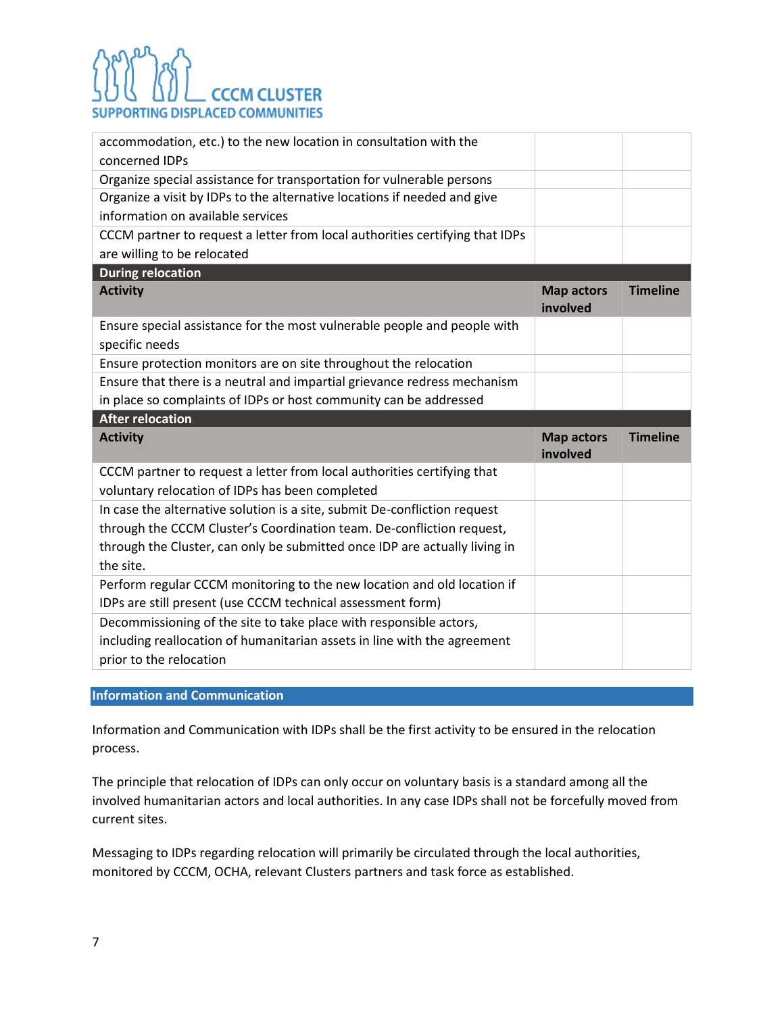| accommodation, etc.) to the new location in consultation with the<br>concerned IDPs                                                                                                                                                           |                               |                 |
|-----------------------------------------------------------------------------------------------------------------------------------------------------------------------------------------------------------------------------------------------|-------------------------------|-----------------|
| Organize special assistance for transportation for vulnerable persons                                                                                                                                                                         |                               |                 |
| Organize a visit by IDPs to the alternative locations if needed and give<br>information on available services                                                                                                                                 |                               |                 |
| CCCM partner to request a letter from local authorities certifying that IDPs                                                                                                                                                                  |                               |                 |
| are willing to be relocated                                                                                                                                                                                                                   |                               |                 |
| <b>During relocation</b>                                                                                                                                                                                                                      |                               |                 |
| <b>Activity</b>                                                                                                                                                                                                                               | <b>Map actors</b><br>involved | <b>Timeline</b> |
| Ensure special assistance for the most vulnerable people and people with<br>specific needs                                                                                                                                                    |                               |                 |
| Ensure protection monitors are on site throughout the relocation                                                                                                                                                                              |                               |                 |
| Ensure that there is a neutral and impartial grievance redress mechanism                                                                                                                                                                      |                               |                 |
|                                                                                                                                                                                                                                               |                               |                 |
| in place so complaints of IDPs or host community can be addressed                                                                                                                                                                             |                               |                 |
| <b>After relocation</b>                                                                                                                                                                                                                       |                               |                 |
| <b>Activity</b>                                                                                                                                                                                                                               | <b>Map actors</b><br>involved | <b>Timeline</b> |
| CCCM partner to request a letter from local authorities certifying that<br>voluntary relocation of IDPs has been completed                                                                                                                    |                               |                 |
| In case the alternative solution is a site, submit De-confliction request<br>through the CCCM Cluster's Coordination team. De-confliction request,<br>through the Cluster, can only be submitted once IDP are actually living in<br>the site. |                               |                 |
| Perform regular CCCM monitoring to the new location and old location if<br>IDPs are still present (use CCCM technical assessment form)                                                                                                        |                               |                 |

#### **Information and Communication**

Information and Communication with IDPs shall be the first activity to be ensured in the relocation process.

The principle that relocation of IDPs can only occur on voluntary basis is a standard among all the involved humanitarian actors and local authorities. In any case IDPs shall not be forcefully moved from current sites.

Messaging to IDPs regarding relocation will primarily be circulated through the local authorities, monitored by CCCM, OCHA, relevant Clusters partners and task force as established.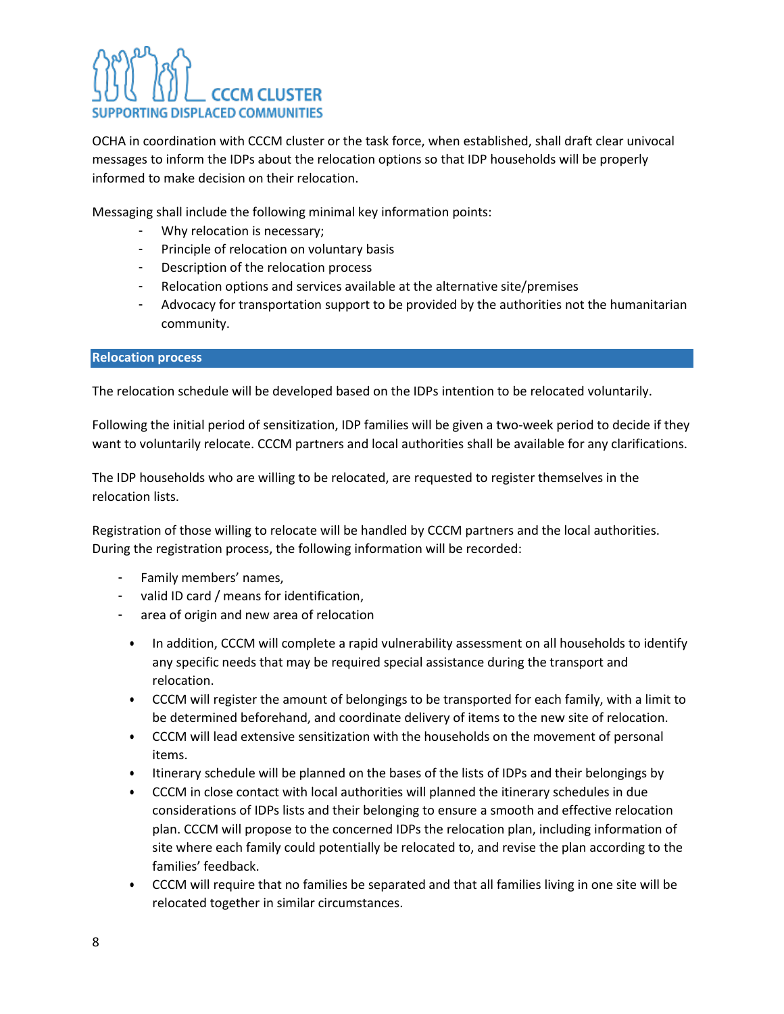OCHA in coordination with CCCM cluster or the task force, when established, shall draft clear univocal messages to inform the IDPs about the relocation options so that IDP households will be properly informed to make decision on their relocation.

Messaging shall include the following minimal key information points:

- Why relocation is necessary;
- Principle of relocation on voluntary basis
- Description of the relocation process
- Relocation options and services available at the alternative site/premises
- Advocacy for transportation support to be provided by the authorities not the humanitarian community.

#### **Relocation process**

The relocation schedule will be developed based on the IDPs intention to be relocated voluntarily.

Following the initial period of sensitization, IDP families will be given a two-week period to decide if they want to voluntarily relocate. CCCM partners and local authorities shall be available for any clarifications.

The IDP households who are willing to be relocated, are requested to register themselves in the relocation lists.

Registration of those willing to relocate will be handled by CCCM partners and the local authorities. During the registration process, the following information will be recorded:

- Family members' names,
- valid ID card / means for identification,
- area of origin and new area of relocation
	- In addition, CCCM will complete a rapid vulnerability assessment on all households to identify any specific needs that may be required special assistance during the transport and relocation.
	- CCCM will register the amount of belongings to be transported for each family, with a limit to be determined beforehand, and coordinate delivery of items to the new site of relocation.
	- CCCM will lead extensive sensitization with the households on the movement of personal items.
	- Itinerary schedule will be planned on the bases of the lists of IDPs and their belongings by
	- CCCM in close contact with local authorities will planned the itinerary schedules in due considerations of IDPs lists and their belonging to ensure a smooth and effective relocation plan. CCCM will propose to the concerned IDPs the relocation plan, including information of site where each family could potentially be relocated to, and revise the plan according to the families' feedback.
	- CCCM will require that no families be separated and that all families living in one site will be relocated together in similar circumstances.